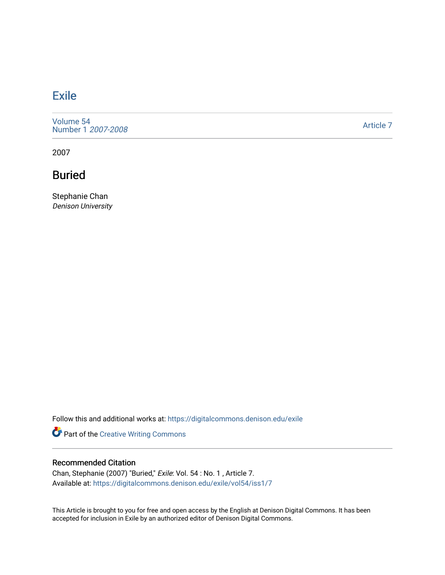## **[Exile](https://digitalcommons.denison.edu/exile)**

[Volume 54](https://digitalcommons.denison.edu/exile/vol54) [Number 1](https://digitalcommons.denison.edu/exile/vol54/iss1) 2007-2008

[Article 7](https://digitalcommons.denison.edu/exile/vol54/iss1/7) 

2007

Buried

Stephanie Chan Denison University

Follow this and additional works at: [https://digitalcommons.denison.edu/exile](https://digitalcommons.denison.edu/exile?utm_source=digitalcommons.denison.edu%2Fexile%2Fvol54%2Fiss1%2F7&utm_medium=PDF&utm_campaign=PDFCoverPages) 

Part of the [Creative Writing Commons](http://network.bepress.com/hgg/discipline/574?utm_source=digitalcommons.denison.edu%2Fexile%2Fvol54%2Fiss1%2F7&utm_medium=PDF&utm_campaign=PDFCoverPages) 

## Recommended Citation

Chan, Stephanie (2007) "Buried," Exile: Vol. 54 : No. 1 , Article 7. Available at: [https://digitalcommons.denison.edu/exile/vol54/iss1/7](https://digitalcommons.denison.edu/exile/vol54/iss1/7?utm_source=digitalcommons.denison.edu%2Fexile%2Fvol54%2Fiss1%2F7&utm_medium=PDF&utm_campaign=PDFCoverPages) 

This Article is brought to you for free and open access by the English at Denison Digital Commons. It has been accepted for inclusion in Exile by an authorized editor of Denison Digital Commons.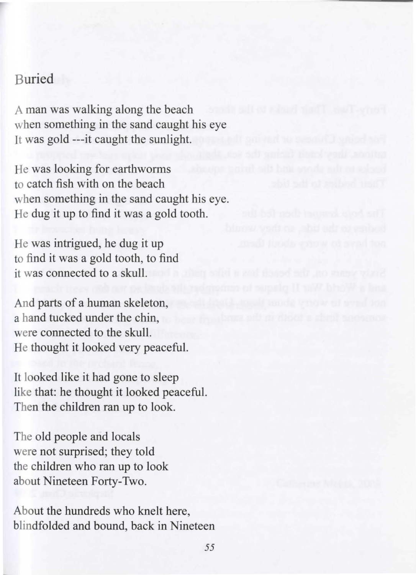## Buried

A man was walking along the beach when something in the sand caught his eye It was gold ---it caught the sunlight.

He was looking for earthworms to catch fish with on the beach when something in the sand caught his eye. He dug it up to find it was a gold tooth.

He was intrigued, he dug it up to find it was a gold tooth, to find it was connected to a skull.

And parts of a human skeleton, a hand tucked under the chin, were connected to the skull. He thought it looked very peaceful.

It looked like it had gone to sleep like that: he thought it looked peaceful. Then the children ran up to look.

The old people and locals were not surprised; they told the children who ran up to look about Nineteen Forty-Two.

About the hundreds who knelt here, blindfolded and bound, back in Nineteen